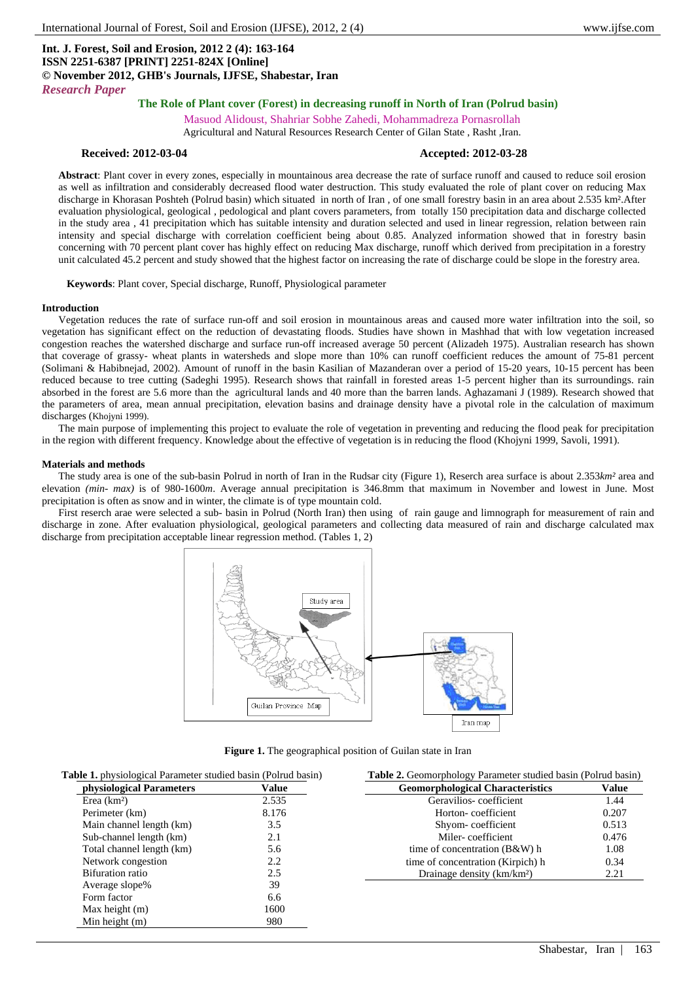# **Int. J. Forest, Soil and Erosion, 2012 2 (4): 163-164 ISSN 2251-6387 [PRINT] 2251-824X [Online] © November 2012, GHB's Journals, IJFSE, Shabestar, Iran** *Research Paper*

# **The Role of Plant cover (Forest) in decreasing runoff in North of Iran (Polrud basin)**

Masuod Alidoust, Shahriar Sobhe Zahedi, Mohammadreza Pornasrollah Agricultural and Natural Resources Research Center of Gilan State , Rasht ,Iran.

#### **Received: 2012-03-04 Accepted: 2012-03-28**

**Abstract**: Plant cover in every zones, especially in mountainous area decrease the rate of surface runoff and caused to reduce soil erosion as well as infiltration and considerably decreased flood water destruction. This study evaluated the role of plant cover on reducing Max discharge in Khorasan Poshteh (Polrud basin) which situated in north of Iran, of one small forestry basin in an area about 2.535 km². After evaluation physiological, geological , pedological and plant covers parameters, from totally 150 precipitation data and discharge collected in the study area , 41 precipitation which has suitable intensity and duration selected and used in linear regression, relation between rain intensity and special discharge with correlation coefficient being about 0.85. Analyzed information showed that in forestry basin concerning with 70 percent plant cover has highly effect on reducing Max discharge, runoff which derived from precipitation in a forestry unit calculated 45.2 percent and study showed that the highest factor on increasing the rate of discharge could be slope in the forestry area.

**Keywords**: Plant cover, Special discharge, Runoff, Physiological parameter

#### **Introduction**

Vegetation reduces the rate of surface run-off and soil erosion in mountainous areas and caused more water infiltration into the soil, so vegetation has significant effect on the reduction of devastating floods. Studies have shown in Mashhad that with low vegetation increased congestion reaches the watershed discharge and surface run-off increased average 50 percent (Alizadeh 1975). Australian research has shown that coverage of grassy- wheat plants in watersheds and slope more than 10% can runoff coefficient reduces the amount of 75-81 percent (Solimani & Habibnejad, 2002). Amount of runoff in the basin Kasilian of Mazanderan over a period of 15-20 years, 10-15 percent has been reduced because to tree cutting (Sadeghi 1995). Research shows that rainfall in forested areas 1-5 percent higher than its surroundings. rain absorbed in the forest are 5.6 more than the agricultural lands and 40 more than the barren lands. Aghazamani J (1989). Research showed that the parameters of area, mean annual precipitation, elevation basins and drainage density have a pivotal role in the calculation of maximum discharges (Khojyni 1999).

The main purpose of implementing this project to evaluate the role of vegetation in preventing and reducing the flood peak for precipitation in the region with different frequency. Knowledge about the effective of vegetation is in reducing the flood (Khojyni 1999, Savoli, 1991).

#### **Materials and methods**

The study area is one of the sub-basin Polrud in north of Iran in the Rudsar city (Figure 1), Reserch area surface is about 2.353*km²* area and elevation *(min- max)* is of 980-1600*m*. Average annual precipitation is 346.8mm that maximum in November and lowest in June. Most precipitation is often as snow and in winter, the climate is of type mountain cold.

First reserch arae were selected a sub- basin in Polrud (North Iran) then using of rain gauge and limnograph for measurement of rain and discharge in zone. After evaluation physiological, geological parameters and collecting data measured of rain and discharge calculated max discharge from precipitation acceptable linear regression method. (Tables 1, 2)



**Figure 1.** The geographical position of Guilan state in Iran

| Table 1. physiological Parameter studied basin (Polrud basin) |       | <b>Table 2.</b> Geomorphology Parameter studied basin (Polrud basin) |       |
|---------------------------------------------------------------|-------|----------------------------------------------------------------------|-------|
| <b>physiological Parameters</b>                               | Value | <b>Geomorphological Characteristics</b>                              | Value |
| Erea $(km2)$                                                  | 2.535 | Geravilios-coefficient                                               | 1.44  |
| Perimeter (km)                                                | 8.176 | Horton-coefficient                                                   | 0.207 |
| Main channel length (km)                                      | 3.5   | Shyom-coefficient                                                    | 0.513 |
| Sub-channel length (km)                                       | 2.1   | Miler-coefficient                                                    | 0.476 |
| Total channel length (km)                                     | 5.6   | time of concentration $(B&W)$ h                                      | 1.08  |
| Network congestion                                            | 2.2   | time of concentration (Kirpich) h                                    | 0.34  |
| Bifuration ratio                                              | 2.5   | Drainage density (km/km <sup>2</sup> )                               | 2.21  |
| Average slope%                                                | 39    |                                                                      |       |
| Form factor                                                   | 6.6   |                                                                      |       |
| Max height $(m)$                                              | 1600  |                                                                      |       |
| Min height $(m)$                                              | 980   |                                                                      |       |